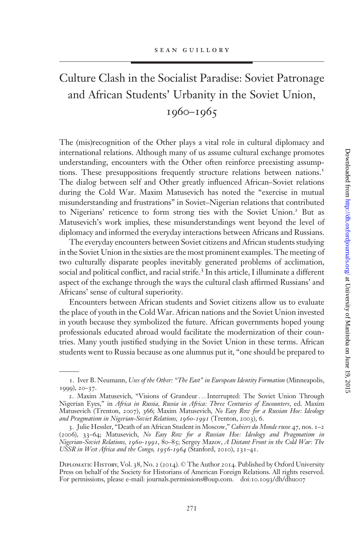## Culture Clash in the Socialist Paradise: Soviet Patronage and African Students' Urbanity in the Soviet Union, 1960–1965

The (mis)recognition of the Other plays a vital role in cultural diplomacy and international relations. Although many of us assume cultural exchange promotes understanding, encounters with the Other often reinforce preexisting assumptions. These presuppositions frequently structure relations between nations.<sup>1</sup> The dialog between self and Other greatly influenced African–Soviet relations during the Cold War. Maxim Matusevich has noted the "exercise in mutual misunderstanding and frustrations" in Soviet–Nigerian relations that contributed to Nigerians' reticence to form strong ties with the Soviet Union.<sup>2</sup> But as Matusevich's work implies, these misunderstandings went beyond the level of diplomacy and informed the everyday interactions between Africans and Russians.

The everyday encounters between Soviet citizens and African students studying in the Soviet Union in the sixties are the most prominent examples. The meeting of two culturally disparate peoples inevitably generated problems of acclimation, social and political conflict, and racial strife.<sup>3</sup> In this article, I illuminate a different aspect of the exchange through the ways the cultural clash affirmed Russians' and Africans' sense of cultural superiority.

Encounters between African students and Soviet citizens allow us to evaluate the place of youth in the Cold War. African nations and the Soviet Union invested in youth because they symbolized the future. African governments hoped young professionals educated abroad would facilitate the modernization of their countries. Many youth justified studying in the Soviet Union in these terms. African students went to Russia because as one alumnus put it, "one should be prepared to

<sup>1.</sup> Iver B. Neumann, Uses of the Other: "The East" in European Identity Formation (Minneapolis, 1999), 20–37.

<sup>2</sup>. Maxim Matusevich, "Visions of Grandeur...Interrupted: The Soviet Union Through Nigerian Eyes," in Africa in Russia, Russia in Africa: Three Centuries of Encounters, ed. Maxim Matusevich (Trenton, 2007), 366; Maxim Matusevich, No Easy Row for a Russian Hoe: Ideology and Pragmatism in Nigerian-Soviet Relations, 1960-1991 (Trenton, 2003), 6.

<sup>3.</sup> Julie Hessler, "Death of an African Student in Moscow," Cahiers du Monde russe 47, nos. 1-2 (2006), 33–64; Matusevich, No Easy Row for a Russian Hoe: Ideology and Pragmatism in Nigerian-Soviet Relations, 1960-1991, 80–85; Sergey Mazov, A Distant Front in the Cold War: The USSR in West Africa and the Congo, 1956-1964 (Stanford, 2010), 231–41.

DIPLOMATIC HISTORY, Vol. 38, No. 2 (2014). © The Author 2014. Published by Oxford University Press on behalf of the Society for Historians of American Foreign Relations. All rights reserved. For permissions, please e-mail: journals.permissions@oup.com. doi:10.1093/dh/dhu007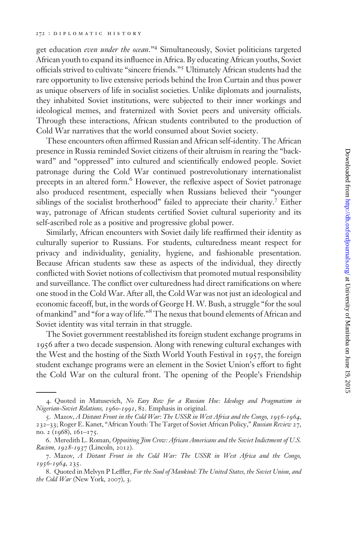get education even under the ocean."<sup>4</sup> Simultaneously, Soviet politicians targeted African youth to expand its influence in Africa. By educating African youths, Soviet officials strived to cultivate "sincere friends."<sup>5</sup> Ultimately African students had the rare opportunity to live extensive periods behind the Iron Curtain and thus power as unique observers of life in socialist societies. Unlike diplomats and journalists, they inhabited Soviet institutions, were subjected to their inner workings and ideological memes, and fraternized with Soviet peers and university officials. Through these interactions, African students contributed to the production of Cold War narratives that the world consumed about Soviet society.

These encounters often affirmed Russian and African self-identity. The African presence in Russia reminded Soviet citizens of their altruism in rearing the "backward" and "oppressed" into cultured and scientifically endowed people. Soviet patronage during the Cold War continued postrevolutionary internationalist precepts in an altered form.<sup>6</sup> However, the reflexive aspect of Soviet patronage also produced resentment, especially when Russians believed their "younger siblings of the socialist brotherhood" failed to appreciate their charity.<sup>7</sup> Either way, patronage of African students certified Soviet cultural superiority and its self-ascribed role as a positive and progressive global power.

Similarly, African encounters with Soviet daily life reaffirmed their identity as culturally superior to Russians. For students, culturedness meant respect for privacy and individuality, geniality, hygiene, and fashionable presentation. Because African students saw these as aspects of the individual, they directly conflicted with Soviet notions of collectivism that promoted mutual responsibility and surveillance. The conflict over culturedness had direct ramifications on where one stood in the Cold War. After all, the Cold War was not just an ideological and economic faceoff, but, in the words of George H. W. Bush, a struggle "for the soul of mankind" and "for a way of life."<sup>8</sup> The nexus that bound elements of African and Soviet identity was vital terrain in that struggle.

The Soviet government reestablished its foreign student exchange programs in 1956 after a two decade suspension. Along with renewing cultural exchanges with the West and the hosting of the Sixth World Youth Festival in 1957, the foreign student exchange programs were an element in the Soviet Union's effort to fight the Cold War on the cultural front. The opening of the People's Friendship

<sup>4</sup>. Quoted in Matusevich, No Easy Row for a Russian Hoe: Ideology and Pragmatism in Nigerian-Soviet Relations, 1960-1991, 82. Emphasis in original.

<sup>5</sup>. Mazov, A Distant Front in the Cold War: The USSR in West Africa and the Congo, 1956-1964, 232–33; Roger E. Kanet, "African Youth: The Target of Soviet African Policy," Russian Review 27, no. 2 (1968), 161–175.

<sup>6.</sup> Meredith L. Roman, Oppositing Jim Crow: African Americans and the Soviet Indictment of U.S. Racism, 1928-1937 (Lincoln, 2012).

<sup>7</sup>. Mazov, A Distant Front in the Cold War: The USSR in West Africa and the Congo, 1956-1964, 235.

<sup>8</sup>. Quoted in Melvyn P Leffler, For the Soul of Mankind: The United States, the Soviet Union, and the Cold War (New York, 2007), 3.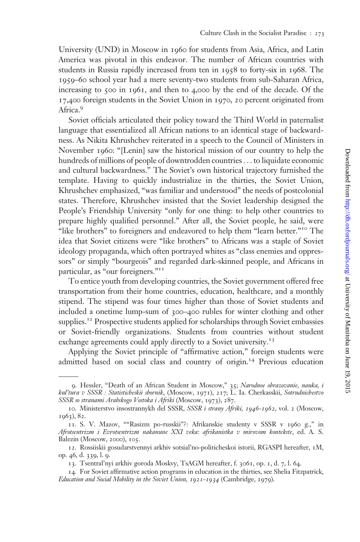University (UND) in Moscow in 1960 for students from Asia, Africa, and Latin America was pivotal in this endeavor. The number of African countries with students in Russia rapidly increased from ten in 1958 to forty-six in 1968. The 1959–60 school year had a mere seventy-two students from sub-Saharan Africa, increasing to 500 in 1961, and then to 4,000 by the end of the decade. Of the 17,400 foreign students in the Soviet Union in 1970, 20 percent originated from Africa.<sup>9</sup>

Soviet officials articulated their policy toward the Third World in paternalist language that essentialized all African nations to an identical stage of backwardness. As Nikita Khrushchev reiterated in a speech to the Council of Ministers in November 1960: "[Lenin] saw the historical mission of our country to help the hundreds of millions of people of downtrodden countries... to liquidate economic and cultural backwardness." The Soviet's own historical trajectory furnished the template. Having to quickly industrialize in the thirties, the Soviet Union, Khrushchev emphasized, "was familiar and understood" the needs of postcolonial states. Therefore, Khrushchev insisted that the Soviet leadership designed the People's Friendship University "only for one thing: to help other countries to prepare highly qualified personnel." After all, the Soviet people, he said, were "like brothers" to foreigners and endeavored to help them "learn better."<sup>10</sup> The idea that Soviet citizens were "like brothers" to Africans was a staple of Soviet ideology propaganda, which often portrayed whites as "class enemies and oppressors" or simply "bourgeois" and regarded dark-skinned people, and Africans in particular, as "our foreigners."<sup>11</sup>

To entice youth from developing countries, the Soviet government offered free transportation from their home countries, education, healthcare, and a monthly stipend. The stipend was four times higher than those of Soviet students and included a onetime lump-sum of 300–400 rubles for winter clothing and other supplies.<sup>12</sup> Prospective students applied for scholarships through Soviet embassies or Soviet-friendly organizations. Students from countries without student exchange agreements could apply directly to a Soviet university.<sup>13</sup>

Applying the Soviet principle of "affirmative action," foreign students were admitted based on social class and country of origin.<sup>14</sup> Previous education

<sup>9.</sup> Hessler, "Death of an African Student in Moscow," 35; Narodnoe obrazovanie, nauka, i kul'tura v SSSR : Statisticheskii sbornik, (Moscow, 1971), 217; L. Ia. Cherkasskii, Sotrudnichestvo SSSR so stranami Arabskogo Vostoka i Afriki (Moscow, 1973), 287.

<sup>10</sup>. Ministerstvo insostrannykh del SSSR, SSSR i strany Afriki, 1946-1962, vol. 2 (Moscow, 1963), 82.

<sup>11</sup>. S. V. Mazov, ""Rasizm po-russkii"?: Afrikanskie studenty v SSSR v 1960 g.," in Afrotsentrizm i Evrotsentrizm nakanune XXI veka: afrikanistka v mirovom kontekste, ed. A. S. Balezin (Moscow, 2000), 105.

<sup>12</sup>. Rossiiskii gosudarstvennyi arkhiv sotsial'no-politicheskoi istorii, RGASPI hereafter, 1M, op. 46, d. 339, l. 9.

<sup>13</sup>. Tsentral'nyi arkhiv goroda Moskvy, TsAGM hereafter, f. 3061, op. 1, d. 7, l. 64.

<sup>14</sup>. For Soviet affirmative action programs in education in the thirties, see Shelia Fitzpatrick, Education and Social Mobility in the Soviet Union, 1921-1934 (Cambridge, 1979).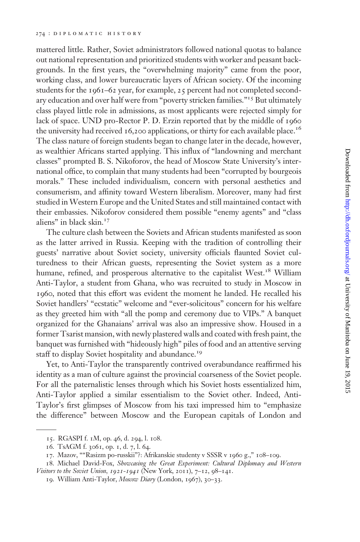mattered little. Rather, Soviet administrators followed national quotas to balance out national representation and prioritized students with worker and peasant backgrounds. In the first years, the "overwhelming majority" came from the poor, working class, and lower bureaucratic layers of African society. Of the incoming students for the 1961–62 year, for example, 25 percent had not completed secondary education and over half were from "poverty stricken families."<sup>15</sup> But ultimately class played little role in admissions, as most applicants were rejected simply for lack of space. UND pro-Rector P. D. Erzin reported that by the middle of 1960 the university had received  $16,200$  applications, or thirty for each available place.<sup>16</sup> The class nature of foreign students began to change later in the decade, however, as wealthier Africans started applying. This influx of "landowning and merchant classes" prompted B. S. Nikoforov, the head of Moscow State University's international office, to complain that many students had been "corrupted by bourgeois morals." These included individualism, concern with personal aesthetics and consumerism, and affinity toward Western liberalism. Moreover, many had first studied in Western Europe and the United States and still maintained contact with their embassies. Nikoforov considered them possible "enemy agents" and "class aliens" in black skin.<sup>17</sup>

The culture clash between the Soviets and African students manifested as soon as the latter arrived in Russia. Keeping with the tradition of controlling their guests' narrative about Soviet society, university officials flaunted Soviet culturedness to their African guests, representing the Soviet system as a more humane, refined, and prosperous alternative to the capitalist West.<sup>18</sup> William Anti-Taylor, a student from Ghana, who was recruited to study in Moscow in 1960, noted that this effort was evident the moment he landed. He recalled his Soviet handlers' "ecstatic" welcome and "ever-solicitous" concern for his welfare as they greeted him with "all the pomp and ceremony due to VIPs." A banquet organized for the Ghanaians' arrival was also an impressive show. Housed in a former Tsarist mansion, with newly plastered walls and coated with fresh paint, the banquet was furnished with "hideously high" piles of food and an attentive serving staff to display Soviet hospitality and abundance.<sup>19</sup>

Yet, to Anti-Taylor the transparently contrived overabundance reaffirmed his identity as a man of culture against the provincial coarseness of the Soviet people. For all the paternalistic lenses through which his Soviet hosts essentialized him, Anti-Taylor applied a similar essentialism to the Soviet other. Indeed, Anti-Taylor's first glimpses of Moscow from his taxi impressed him to "emphasize the difference" between Moscow and the European capitals of London and

<sup>15</sup>. RGASPI f. 1M, op. 46, d. 294, l. 108.

<sup>16</sup>. TsAGM f. 3061, op. 1, d. 7, l. 64.

<sup>17</sup>. Mazov, ""Rasizm po-russkii"?: Afrikanskie studenty v SSSR v 1960 g.," 108–109.

<sup>18</sup>. Michael David-Fox, Showcasing the Great Experiment: Cultural Diplomacy and Western Visitors to the Soviet Union, 1921-1941 (New York, 2011),  $7-12$ ,  $98-141$ .

<sup>19</sup>. William Anti-Taylor, Moscow Diary (London, 1967), 30–33.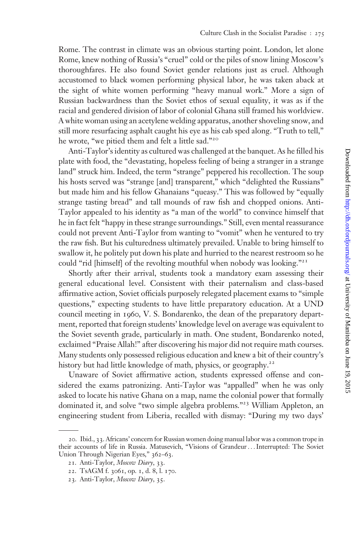Rome. The contrast in climate was an obvious starting point. London, let alone Rome, knew nothing of Russia's "cruel" cold or the piles of snow lining Moscow's thoroughfares. He also found Soviet gender relations just as cruel. Although accustomed to black women performing physical labor, he was taken aback at the sight of white women performing "heavy manual work." More a sign of Russian backwardness than the Soviet ethos of sexual equality, it was as if the racial and gendered division of labor of colonial Ghana still framed his worldview. A white woman using an acetylene welding apparatus, another shoveling snow, and still more resurfacing asphalt caught his eye as his cab sped along. "Truth to tell," he wrote, "we pitied them and felt a little sad."<sup>20</sup>

Anti-Taylor's identity as cultured was challenged at the banquet. As he filled his plate with food, the "devastating, hopeless feeling of being a stranger in a strange land" struck him. Indeed, the term "strange" peppered his recollection. The soup his hosts served was "strange [and] transparent," which "delighted the Russians" but made him and his fellow Ghanaians "queasy." This was followed by "equally strange tasting bread" and tall mounds of raw fish and chopped onions. Anti-Taylor appealed to his identity as "a man of the world" to convince himself that he in fact felt "happy in these strange surroundings." Still, even mental reassurance could not prevent Anti-Taylor from wanting to "vomit" when he ventured to try the raw fish. But his culturedness ultimately prevailed. Unable to bring himself to swallow it, he politely put down his plate and hurried to the nearest restroom so he could "rid [himself] of the revolting mouthful when nobody was looking."<sup>21</sup>

Shortly after their arrival, students took a mandatory exam assessing their general educational level. Consistent with their paternalism and class-based affirmative action, Soviet officials purposely relegated placement exams to "simple questions," expecting students to have little preparatory education. At a UND council meeting in 1960, V. S. Bondarenko, the dean of the preparatory department, reported that foreign students' knowledge level on average was equivalent to the Soviet seventh grade, particularly in math. One student, Bondarenko noted, exclaimed "Praise Allah!" after discovering his major did not require math courses. Many students only possessed religious education and knew a bit of their country's history but had little knowledge of math, physics, or geography.<sup>22</sup>

Unaware of Soviet affirmative action, students expressed offense and considered the exams patronizing. Anti-Taylor was "appalled" when he was only asked to locate his native Ghana on a map, name the colonial power that formally dominated it, and solve "two simple algebra problems."<sup>23</sup> William Appleton, an engineering student from Liberia, recalled with dismay: "During my two days'

<sup>20</sup>. Ibid., 33. Africans' concern for Russian women doing manual labor was a common trope in their accounts of life in Russia. Matusevich, "Visions of Grandeur...Interrupted: The Soviet Union Through Nigerian Eyes," 362-63.

<sup>21</sup>. Anti-Taylor, Moscow Diary, 33.

<sup>22</sup>. TsAGM f. 3061, op. 1, d. 8, l. 170.

<sup>23</sup>. Anti-Taylor, Moscow Diary, 35.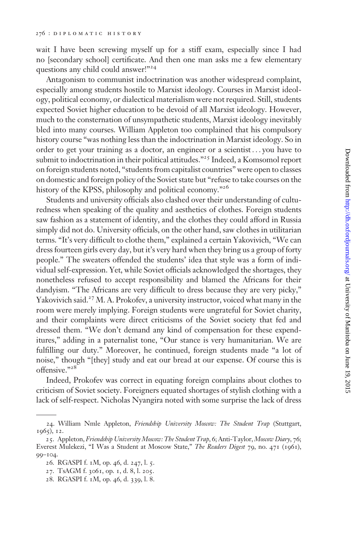wait I have been screwing myself up for a stiff exam, especially since I had no [secondary school] certificate. And then one man asks me a few elementary questions any child could answer!"<sup>24</sup>

Antagonism to communist indoctrination was another widespread complaint, especially among students hostile to Marxist ideology. Courses in Marxist ideology, political economy, or dialectical materialism were not required. Still, students expected Soviet higher education to be devoid of all Marxist ideology. However, much to the consternation of unsympathetic students, Marxist ideology inevitably bled into many courses. William Appleton too complained that his compulsory history course "was nothing less than the indoctrination in Marxist ideology. So in order to get your training as a doctor, an engineer or a scientist... you have to submit to indoctrination in their political attitudes."<sup>25</sup> Indeed, a Komsomol report on foreign students noted, "students from capitalist countries" were open to classes on domestic and foreign policy of the Soviet state but "refuse to take courses on the history of the KPSS, philosophy and political economy."<sup>26</sup>

Students and university officials also clashed over their understanding of culturedness when speaking of the quality and aesthetics of clothes. Foreign students saw fashion as a statement of identity, and the clothes they could afford in Russia simply did not do. University officials, on the other hand, saw clothes in utilitarian terms. "It's very difficult to clothe them," explained a certain Yakovivich, "We can dress fourteen girls every day, but it's very hard when they bring us a group of forty people." The sweaters offended the students' idea that style was a form of individual self-expression. Yet, while Soviet officials acknowledged the shortages, they nonetheless refused to accept responsibility and blamed the Africans for their dandyism. "The Africans are very difficult to dress because they are very picky," Yakovivich said.<sup>27</sup> M. A. Prokofev, a university instructor, voiced what many in the room were merely implying. Foreign students were ungrateful for Soviet charity, and their complaints were direct criticisms of the Soviet society that fed and dressed them. "We don't demand any kind of compensation for these expenditures," adding in a paternalist tone, "Our stance is very humanitarian. We are fulfilling our duty." Moreover, he continued, foreign students made "a lot of noise," though "[they] study and eat our bread at our expense. Of course this is offensive."<sup>28</sup>

Indeed, Prokofev was correct in equating foreign complains about clothes to criticism of Soviet society. Foreigners equated shortages of stylish clothing with a lack of self-respect. Nicholas Nyangira noted with some surprise the lack of dress

<sup>24.</sup> William Nmle Appleton, Friendship University Moscow: The Student Trap (Stuttgart, 1965), 12.

<sup>25</sup>. Appleton, Friendship University Moscow: The Student Trap, 6; Anti-Taylor, Moscow Diary, 76; Everest Mulekezi, "I Was a Student at Moscow State," The Readers Digest 79, no. 471 (1961), 99–104.

<sup>26</sup>. RGASPI f. 1M, op. 46, d. 247, l. 5.

<sup>27</sup>. TsAGM f. 3061, op. 1, d. 8, l. 205.

<sup>28</sup>. RGASPI f. 1M, op. 46, d. 339, l. 8.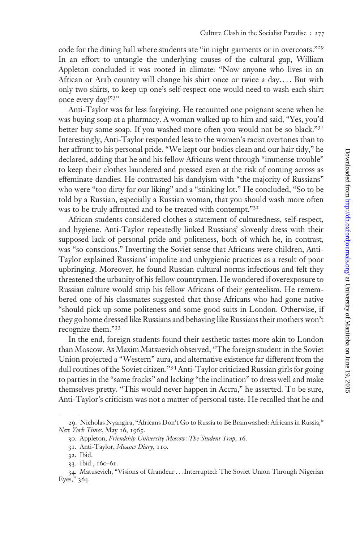code for the dining hall where students ate "in night garments or in overcoats."<sup>29</sup> In an effort to untangle the underlying causes of the cultural gap, William Appleton concluded it was rooted in climate: "Now anyone who lives in an African or Arab country will change his shirt once or twice a day... . But with only two shirts, to keep up one's self-respect one would need to wash each shirt once every day!"<sup>30</sup>

Anti-Taylor was far less forgiving. He recounted one poignant scene when he was buying soap at a pharmacy. A woman walked up to him and said, "Yes, you'd better buy some soap. If you washed more often you would not be so black."<sup>31</sup> Interestingly, Anti-Taylor responded less to the women's racist overtones than to her affront to his personal pride. "We kept our bodies clean and our hair tidy," he declared, adding that he and his fellow Africans went through "immense trouble" to keep their clothes laundered and pressed even at the risk of coming across as effeminate dandies. He contrasted his dandyism with "the majority of Russians" who were "too dirty for our liking" and a "stinking lot." He concluded, "So to be told by a Russian, especially a Russian woman, that you should wash more often was to be truly affronted and to be treated with contempt."<sup>32</sup>

African students considered clothes a statement of culturedness, self-respect, and hygiene. Anti-Taylor repeatedly linked Russians' slovenly dress with their supposed lack of personal pride and politeness, both of which he, in contrast, was "so conscious." Inverting the Soviet sense that Africans were children, Anti-Taylor explained Russians' impolite and unhygienic practices as a result of poor upbringing. Moreover, he found Russian cultural norms infectious and felt they threatened the urbanity of his fellow countrymen. He wondered if overexposure to Russian culture would strip his fellow Africans of their genteelism. He remembered one of his classmates suggested that those Africans who had gone native "should pick up some politeness and some good suits in London. Otherwise, if they go home dressed like Russians and behaving like Russians their mothers won't recognize them."<sup>33</sup>

In the end, foreign students found their aesthetic tastes more akin to London than Moscow. As Maxim Matsuevich observed, "The foreign student in the Soviet Union projected a "Western" aura, and alternative existence far different from the dull routines of the Soviet citizen."<sup>34</sup> Anti-Taylor criticized Russian girls for going to parties in the "same frocks" and lacking "the inclination" to dress well and make themselves pretty. "This would never happen in Accra," he asserted. To be sure, Anti-Taylor's criticism was not a matter of personal taste. He recalled that he and

<sup>29</sup>. Nicholas Nyangira, "Africans Don't Go to Russia to Be Brainwashed: Africans in Russia," New York Times, May 16, 1965.

<sup>30</sup>. Appleton, Friendship University Moscow: The Student Trap, 16.

<sup>31.</sup> Anti-Taylor, Moscow Diary, 110.

<sup>32</sup>. Ibid.

<sup>33</sup>. Ibid., 160–61.

<sup>34</sup>. Matusevich, "Visions of Grandeur...Interrupted: The Soviet Union Through Nigerian Eyes," 364.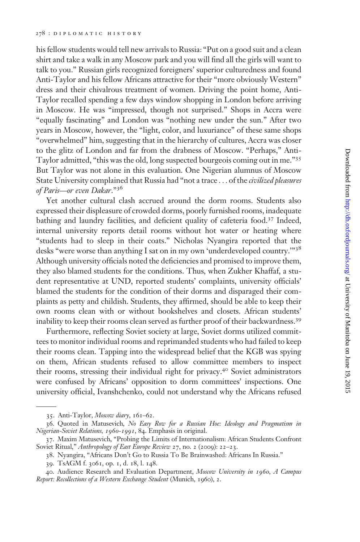his fellow students would tell new arrivals to Russia: "Put on a good suit and a clean shirt and take a walk in any Moscow park and you will find all the girls will want to talk to you." Russian girls recognized foreigners' superior culturedness and found Anti-Taylor and his fellow Africans attractive for their "more obviously Western" dress and their chivalrous treatment of women. Driving the point home, Anti-Taylor recalled spending a few days window shopping in London before arriving in Moscow. He was "impressed, though not surprised." Shops in Accra were "equally fascinating" and London was "nothing new under the sun." After two years in Moscow, however, the "light, color, and luxuriance" of these same shops "overwhelmed" him, suggesting that in the hierarchy of cultures, Accra was closer to the glitz of London and far from the drabness of Moscow. "Perhaps," Anti-Taylor admitted, "this was the old, long suspected bourgeois coming out in me."<sup>35</sup> But Taylor was not alone in this evaluation. One Nigerian alumnus of Moscow State University complained that Russia had "not a trace . . . of the *civilized pleasures* of Paris—or even Dakar."<sup>36</sup>

Yet another cultural clash accrued around the dorm rooms. Students also expressed their displeasure of crowded dorms, poorly furnished rooms, inadequate bathing and laundry facilities, and deficient quality of cafeteria food.<sup>37</sup> Indeed, internal university reports detail rooms without hot water or heating where "students had to sleep in their coats." Nicholas Nyangira reported that the desks "were worse than anything I sat on in my own 'underdeveloped country.'"<sup>38</sup> Although university officials noted the deficiencies and promised to improve them, they also blamed students for the conditions. Thus, when Zukher Khaffaf, a student representative at UND, reported students' complaints, university officials' blamed the students for the condition of their dorms and disparaged their complaints as petty and childish. Students, they affirmed, should be able to keep their own rooms clean with or without bookshelves and closets. African students' inability to keep their rooms clean served as further proof of their backwardness.<sup>39</sup>

Furthermore, reflecting Soviet society at large, Soviet dorms utilized committees to monitor individual rooms and reprimanded students who had failed to keep their rooms clean. Tapping into the widespread belief that the KGB was spying on them, African students refused to allow committee members to inspect their rooms, stressing their individual right for privacy.<sup>40</sup> Soviet administrators were confused by Africans' opposition to dorm committees' inspections. One university official, Ivanshchenko, could not understand why the Africans refused

<sup>35</sup>. Anti-Taylor, Moscow diary, 161–62.

<sup>36</sup>. Quoted in Matusevich, No Easy Row for a Russian Hoe: Ideology and Pragmatism in Nigerian-Soviet Relations, 1960-1991, 84. Emphasis in original.

<sup>37</sup>. Maxim Matusevich, "Probing the Limits of Internationalism: African Students Confront Soviet Ritual," Anthropology of East Europe Review 27, no. 2 (2009): 22-23.

<sup>38</sup>. Nyangira, "Africans Don't Go to Russia To Be Brainwashed: Africans In Russia."

<sup>39</sup>. TsAGM f. 3061, op. 1, d. 18, l. 148.

<sup>40</sup>. Audience Research and Evaluation Department, Moscow University in 1960, A Campus Report: Recollections of a Western Exchange Student (Munich, 1960), 2.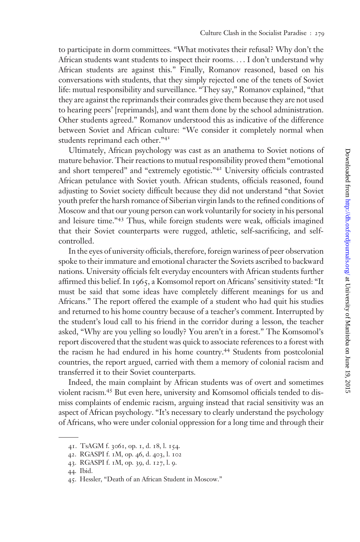to participate in dorm committees. "What motivates their refusal? Why don't the African students want students to inspect their rooms... . I don't understand why African students are against this." Finally, Romanov reasoned, based on his conversations with students, that they simply rejected one of the tenets of Soviet life: mutual responsibility and surveillance. "They say," Romanov explained, "that they are against the reprimands their comrades give them because they are not used to hearing peers' [reprimands], and want them done by the school administration. Other students agreed." Romanov understood this as indicative of the difference between Soviet and African culture: "We consider it completely normal when students reprimand each other."<sup>41</sup>

Ultimately, African psychology was cast as an anathema to Soviet notions of mature behavior. Their reactions to mutual responsibility proved them "emotional and short tempered" and "extremely egotistic."<sup>42</sup> University officials contrasted African petulance with Soviet youth. African students, officials reasoned, found adjusting to Soviet society difficult because they did not understand "that Soviet youth prefer the harsh romance of Siberian virgin lands to the refined conditions of Moscow and that our young person can work voluntarily for society in his personal and leisure time."<sup>43</sup> Thus, while foreign students were weak, officials imagined that their Soviet counterparts were rugged, athletic, self-sacrificing, and selfcontrolled.

In the eyes of university officials, therefore, foreign wariness of peer observation spoke to their immature and emotional character the Soviets ascribed to backward nations. University officials felt everyday encounters with African students further affirmed this belief. In 1965, a Komsomol report on Africans' sensitivity stated: "It must be said that some ideas have completely different meanings for us and Africans." The report offered the example of a student who had quit his studies and returned to his home country because of a teacher's comment. Interrupted by the student's loud call to his friend in the corridor during a lesson, the teacher asked, "Why are you yelling so loudly? You aren't in a forest." The Komsomol's report discovered that the student was quick to associate references to a forest with the racism he had endured in his home country.<sup>44</sup> Students from postcolonial countries, the report argued, carried with them a memory of colonial racism and transferred it to their Soviet counterparts.

Indeed, the main complaint by African students was of overt and sometimes violent racism.<sup>45</sup> But even here, university and Komsomol officials tended to dismiss complaints of endemic racism, arguing instead that racial sensitivity was an aspect of African psychology. "It's necessary to clearly understand the psychology of Africans, who were under colonial oppression for a long time and through their

<sup>41</sup>. TsAGM f. 3061, op. 1, d. 18, l. 154.

<sup>42</sup>. RGASPI f. 1M, op. 46, d. 403, l. 102

<sup>43</sup>. RGASPI f. 1M, op. 39, d. 127, l. 9.

<sup>44</sup>. Ibid.

<sup>45</sup>. Hessler, "Death of an African Student in Moscow."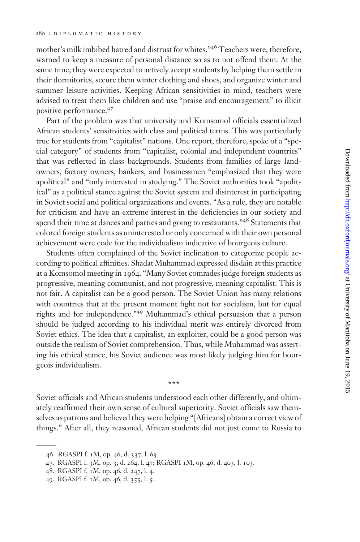mother's milk imbibed hatred and distrust for whites."<sup>46</sup> Teachers were, therefore, warned to keep a measure of personal distance so as to not offend them. At the same time, they were expected to actively accept students by helping them settle in their dormitories, secure them winter clothing and shoes, and organize winter and summer leisure activities. Keeping African sensitivities in mind, teachers were advised to treat them like children and use "praise and encouragement" to illicit positive performance.<sup>47</sup>

Part of the problem was that university and Komsomol officials essentialized African students' sensitivities with class and political terms. This was particularly true for students from "capitalist" nations. One report, therefore, spoke of a "special category" of students from "capitalist, colonial and independent countries" that was reflected in class backgrounds. Students from families of large landowners, factory owners, bankers, and businessmen "emphasized that they were apolitical" and "only interested in studying." The Soviet authorities took "apolitical" as a political stance against the Soviet system and disinterest in participating in Soviet social and political organizations and events. "As a rule, they are notable for criticism and have an extreme interest in the deficiencies in our society and spend their time at dances and parties and going to restaurants."<sup>48</sup> Statements that colored foreign students as uninterested or only concerned with their own personal achievement were code for the individualism indicative of bourgeois culture.

Students often complained of the Soviet inclination to categorize people according to political affinities. Shadat Muhammad expressed disdain at this practice at a Komsomol meeting in 1964. "Many Soviet comrades judge foreign students as progressive, meaning communist, and not progressive, meaning capitalist. This is not fair. A capitalist can be a good person. The Soviet Union has many relations with countries that at the present moment fight not for socialism, but for equal rights and for independence."<sup>49</sup> Muhammad's ethical persuasion that a person should be judged according to his individual merit was entirely divorced from Soviet ethics. The idea that a capitalist, an exploiter, could be a good person was outside the realism of Soviet comprehension. Thus, while Muhammad was asserting his ethical stance, his Soviet audience was most likely judging him for bourgeois individualism.

Soviet officials and African students understood each other differently, and ultimately reaffirmed their own sense of cultural superiority. Soviet officials saw themselves as patrons and believed they were helping "[Africans] obtain a correct view of things." After all, they reasoned, African students did not just come to Russia to

\*\*\*

<sup>46</sup>. RGASPI f. 1M, op. 46, d. 337, l. 63.

<sup>47</sup>. RGASPI f. 3M, op. 3, d. 264, l. 47; RGASPI 1M, op. 46, d. 403, l. 103.

<sup>48</sup>. RGASPI f. 1M, op. 46, d. 247, l. 4.

<sup>49</sup>. RGASPI f. 1M, op. 46, d. 355, l. 5.